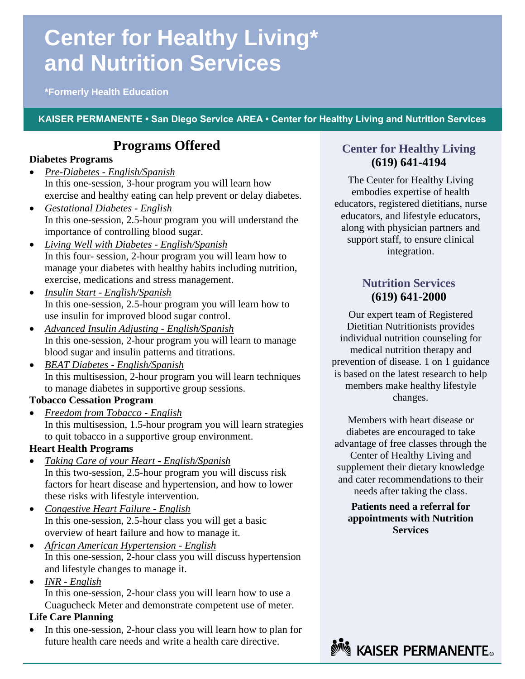# **Center for Healthy Living\* and Nutrition Services**

**\*Formerly Health Education**

## **KAISER PERMANENTE • San Diego Service AREA • Center for Healthy Living and Nutrition Services**

# **Programs Offered**

### **Diabetes Programs**

- *Pre-Diabetes - English/Spanish* In this one-session, 3-hour program you will learn how exercise and healthy eating can help prevent or delay diabetes.
- *Gestational Diabetes - English* In this one-session, 2.5-hour program you will understand the importance of controlling blood sugar.
- *Living Well with Diabetes - English/Spanish* In this four- session, 2-hour program you will learn how to manage your diabetes with healthy habits including nutrition, exercise, medications and stress management.
- *Insulin Start - English/Spanish* In this one-session, 2.5-hour program you will learn how to use insulin for improved blood sugar control.
- *Advanced Insulin Adjusting - English/Spanish* In this one-session, 2-hour program you will learn to manage blood sugar and insulin patterns and titrations.
- *BEAT Diabetes - English/Spanish* In this multisession, 2-hour program you will learn techniques to manage diabetes in supportive group sessions.

## **Tobacco Cessation Program**

 *Freedom from Tobacco - English* In this multisession, 1.5-hour program you will learn strategies to quit tobacco in a supportive group environment.

## **Heart Health Programs**

- *Taking Care of your Heart - English/Spanish* In this two-session, 2.5-hour program you will discuss risk factors for heart disease and hypertension, and how to lower these risks with lifestyle intervention.
- *Congestive Heart Failure - English* In this one-session, 2.5-hour class you will get a basic overview of heart failure and how to manage it.
- *African American Hypertension - English* In this one-session, 2-hour class you will discuss hypertension and lifestyle changes to manage it.
- *INR - English* In this one-session, 2-hour class you will learn how to use a Cuagucheck Meter and demonstrate competent use of meter.

## **Life Care Planning**

 In this one-session, 2-hour class you will learn how to plan for future health care needs and write a health care directive.

# **Center for Healthy Living (619) 641-4194**

The Center for Healthy Living embodies expertise of health educators, registered dietitians, nurse educators, and lifestyle educators, along with physician partners and support staff, to ensure clinical integration.

# **Nutrition Services (619) 641-2000**

Our expert team of Registered Dietitian Nutritionists provides individual nutrition counseling for medical nutrition therapy and prevention of disease. 1 on 1 guidance is based on the latest research to help members make healthy lifestyle changes.

Members with heart disease or diabetes are encouraged to take advantage of free classes through the Center of Healthy Living and supplement their dietary knowledge and cater recommendations to their needs after taking the class.

**Patients need a referral for appointments with Nutrition Services**